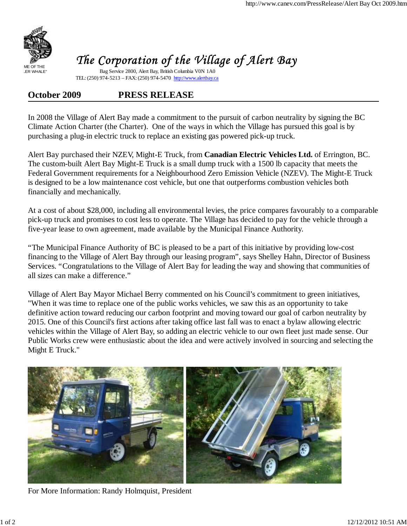

## The Corporation of the Village of Alert Bay

Bag Service 2800, Alert Bay, British Columbia V0N 1A0 TEL: (250) 974-5213 – FAX: (250) 974-5470 http://www.alertbay.ca

## **October 2009 PRESS RELEASE**

In 2008 the Village of Alert Bay made a commitment to the pursuit of carbon neutrality by signing the BC Climate Action Charter (the Charter). One of the ways in which the Village has pursued this goal is by purchasing a plug-in electric truck to replace an existing gas powered pick-up truck.

Alert Bay purchased their NZEV, Might-E Truck, from **Canadian Electric Vehicles Ltd.** of Errington, BC. The custom-built Alert Bay Might-E Truck is a small dump truck with a 1500 lb capacity that meets the Federal Government requirements for a Neighbourhood Zero Emission Vehicle (NZEV). The Might-E Truck is designed to be a low maintenance cost vehicle, but one that outperforms combustion vehicles both financially and mechanically.

At a cost of about \$28,000, including all environmental levies, the price compares favourably to a comparable pick-up truck and promises to cost less to operate. The Village has decided to pay for the vehicle through a five-year lease to own agreement, made available by the Municipal Finance Authority.

"The Municipal Finance Authority of BC is pleased to be a part of this initiative by providing low-cost financing to the Village of Alert Bay through our leasing program", says Shelley Hahn, Director of Business Services. "Congratulations to the Village of Alert Bay for leading the way and showing that communities of all sizes can make a difference."

Village of Alert Bay Mayor Michael Berry commented on his Council's commitment to green initiatives, "When it was time to replace one of the public works vehicles, we saw this as an opportunity to take definitive action toward reducing our carbon footprint and moving toward our goal of carbon neutrality by 2015. One of this Council's first actions after taking office last fall was to enact a bylaw allowing electric vehicles within the Village of Alert Bay, so adding an electric vehicle to our own fleet just made sense. Our Public Works crew were enthusiastic about the idea and were actively involved in sourcing and selecting the Might E Truck."



For More Information: Randy Holmquist, President